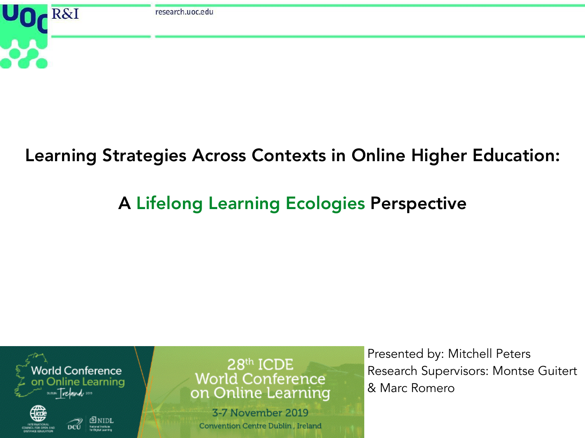

## Learning Strategies Across Contexts in Online Higher Education:

# A Lifelong Learning Ecologies Perspective



28th ICDE **World Conference** on Online Learning

3-7 November 2019 Convention Centre Dublin, Ireland Presented by: Mitchell Peters Research Supervisors: Montse Guitert & Marc Romero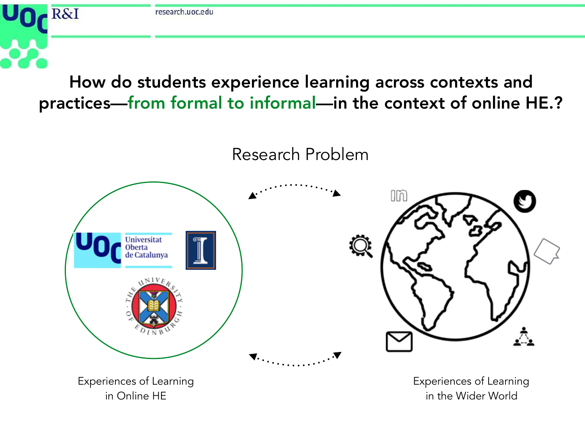

Experiences of Learning

in Online HE

Experiences of Learning in the Wider World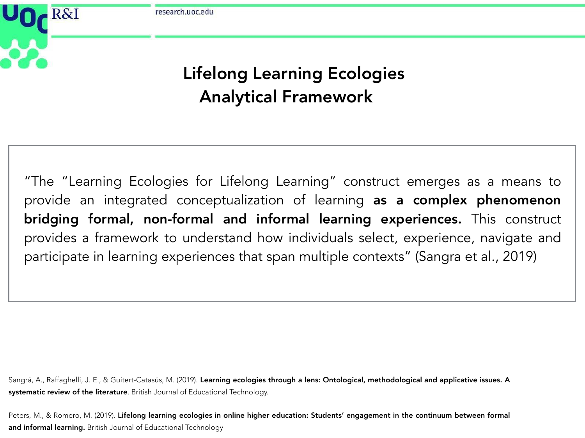research.uoc.edu

**R&I** 

### Lifelong Learning Ecologies Analytical Framework

"The "Learning Ecologies for Lifelong Learning" construct emerges as a means to provide an integrated conceptualization of learning as a complex phenomenon bridging formal, non-formal and informal learning experiences. This construct provides a framework to understand how individuals select, experience, navigate and participate in learning experiences that span multiple contexts" (Sangra et al., 2019)

Sangrá, A., Raffaghelli, J. E., & Guitert-Catasús, M. (2019). Learning ecologies through a lens: Ontological, methodological and applicative issues. A systematic review of the literature. British Journal of Educational Technology.

Peters, M., & Romero, M. (2019). Lifelong learning ecologies in online higher education: Students' engagement in the continuum between formal and informal learning. British Journal of Educational Technology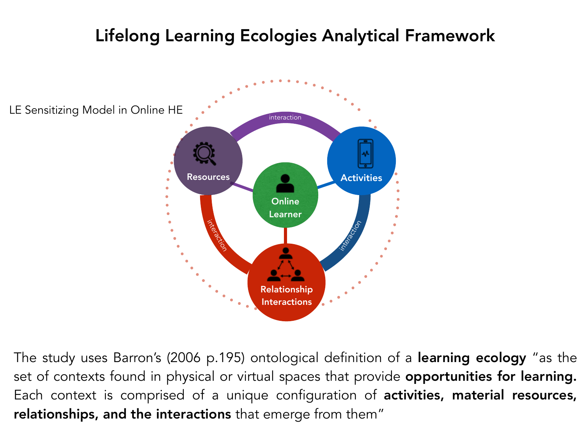## Lifelong Learning Ecologies Analytical Framework



The study uses Barron's (2006 p.195) ontological definition of a learning ecology "as the set of contexts found in physical or virtual spaces that provide opportunities for learning. Each context is comprised of a unique configuration of activities, material resources, relationships, and the interactions that emerge from them"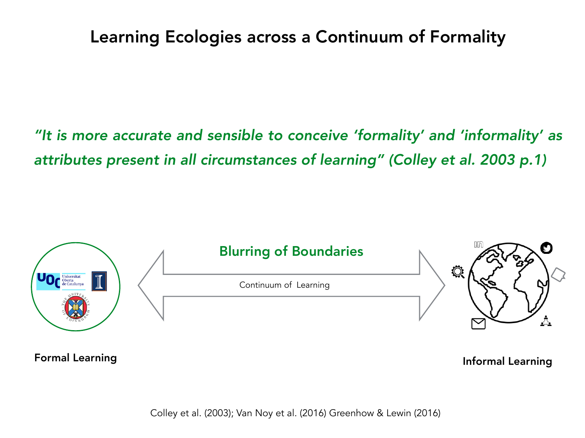### Learning Ecologies across a Continuum of Formality

*"It is more accurate and sensible to conceive 'formality' and 'informality' as attributes present in all circumstances of learning" (Colley et al. 2003 p.1)*



Formal Learning and the settlement of the settlement of the settlement of the settlement of the settlement of the settlement of the settlement of the settlement of the settlement of the settlement of the settlement of the

Colley et al. (2003); Van Noy et al. (2016) Greenhow & Lewin (2016)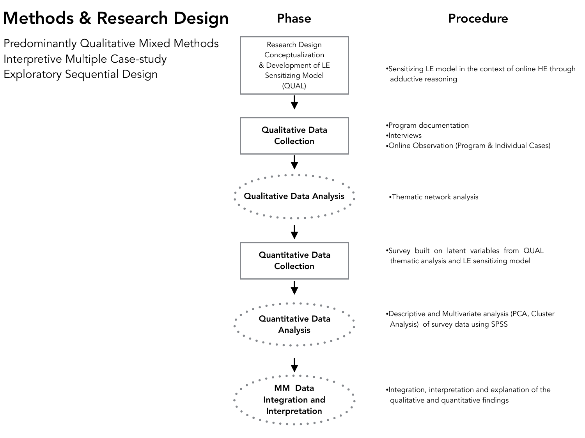### Methods & Research Design

Predominantly Qualitative Mixed Methods Interpretive Multiple Case-study Exploratory Sequential Design

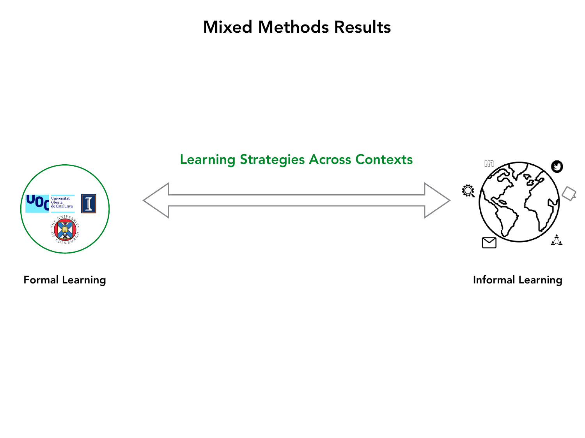Mixed Methods Results



Formal Learning **Informal Learning**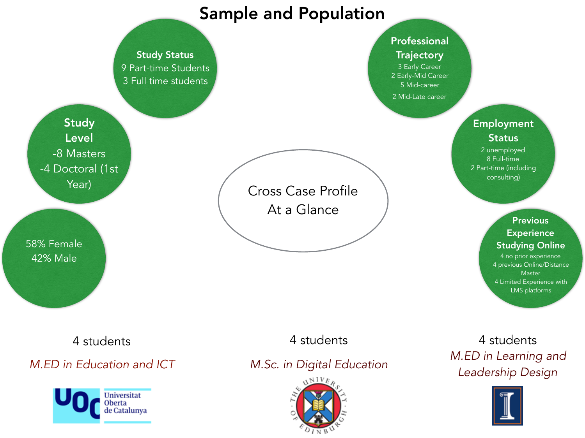### Sample and Population



Universitat Oberta

de Catalunya

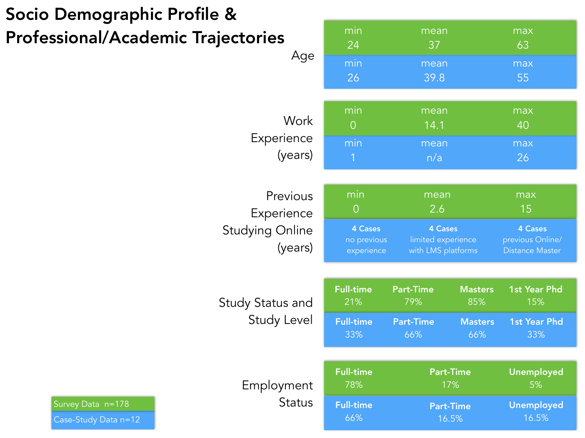# Socio Demographic Profile & Professional/Academic Traje

| ectories<br>Age                                             | min<br>24                                                        | mean<br>37                                                                |                                                | max<br>63                                                                 |  |
|-------------------------------------------------------------|------------------------------------------------------------------|---------------------------------------------------------------------------|------------------------------------------------|---------------------------------------------------------------------------|--|
|                                                             | min<br>26                                                        | mean<br>39.8                                                              |                                                | max<br>55                                                                 |  |
| <b>Work</b><br>Experience<br>(years)                        | min<br>$\overline{O}$<br>min<br>1                                | mean<br>14.1<br>mean<br>n/a                                               |                                                | max<br>40<br>max<br>26                                                    |  |
| Previous<br>Experience<br><b>Studying Online</b><br>(years) | min<br>$\bigcirc$<br><b>4 Cases</b><br>no previous<br>experience | mean<br>2.6<br><b>4 Cases</b><br>limited experience<br>with LMS platforms |                                                | max<br>15<br><b>4 Cases</b><br>previous Online/<br><b>Distance Master</b> |  |
| <b>Study Status and</b><br><b>Study Level</b>               | <b>Full-time</b><br>21%<br><b>Full-time</b><br>33%               | <b>Part-Time</b><br>79%<br><b>Part-Time</b><br>66%                        | <b>Masters</b><br>85%<br><b>Masters</b><br>66% | <b>1st Year Phd</b><br>15%<br><b>1st Year Phd</b><br>33%                  |  |
| Employment<br><b>Status</b>                                 | <b>Full-time</b><br>78%                                          | <b>Part-Time</b><br>17%                                                   |                                                | Unemployed<br>5%                                                          |  |
|                                                             | <b>Full-time</b><br>66%                                          |                                                                           | <b>Part-Time</b><br>16.5%                      | <b>Unemployed</b><br>16.5%                                                |  |

Case-Study Data n=12 Survey Data n=178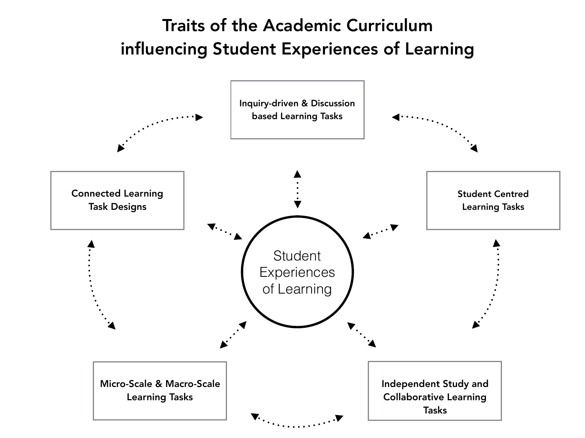### Traits of the Academic Curriculum influencing Student Experiences of Learning

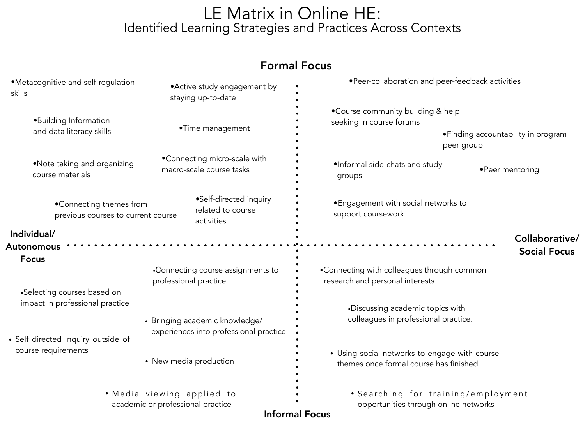#### LE Matrix in Online HE: Identified Learning Strategies and Practices Across Contexts

#### Formal Focus

| •Metacognitive and self-regulation<br>skills                                                                               | • Active study engagement by<br>staying up-to-date                       | • Peer-collaboration and peer-feedback activities                                       |                     |  |
|----------------------------------------------------------------------------------------------------------------------------|--------------------------------------------------------------------------|-----------------------------------------------------------------------------------------|---------------------|--|
| •Building Information                                                                                                      | •Time management                                                         | •Course community building & help<br>seeking in course forums                           |                     |  |
| and data literacy skills                                                                                                   |                                                                          | • Finding accountability in program<br>peer group                                       |                     |  |
| •Note taking and organizing<br>course materials                                                                            | •Connecting micro-scale with<br>macro-scale course tasks                 | •Informal side-chats and study<br>groups                                                | • Peer mentoring    |  |
| •Self-directed inquiry<br>•Connecting themes from<br>related to course<br>previous courses to current course<br>activities |                                                                          | • Engagement with social networks to<br>support coursework                              |                     |  |
| Individual/                                                                                                                |                                                                          |                                                                                         | Collaborative/      |  |
| Autonomous                                                                                                                 |                                                                          |                                                                                         | <b>Social Focus</b> |  |
| <b>Focus</b>                                                                                                               |                                                                          |                                                                                         |                     |  |
|                                                                                                                            | •Connecting course assignments to<br>professional practice               | •Connecting with colleagues through common<br>research and personal interests           |                     |  |
| •Selecting courses based on<br>impact in professional practice                                                             |                                                                          | •Discussing academic topics with<br>colleagues in professional practice.                |                     |  |
| • Self directed Inquiry outside of                                                                                         | • Bringing academic knowledge/<br>experiences into professional practice |                                                                                         |                     |  |
| course requirements                                                                                                        | • New media production                                                   | • Using social networks to engage with course<br>themes once formal course has finished |                     |  |
| • Media viewing applied to<br>academic or professional practice                                                            |                                                                          | • Searching for training/employment<br>opportunities through online networks            |                     |  |
|                                                                                                                            |                                                                          | <b>Informal Focus</b>                                                                   |                     |  |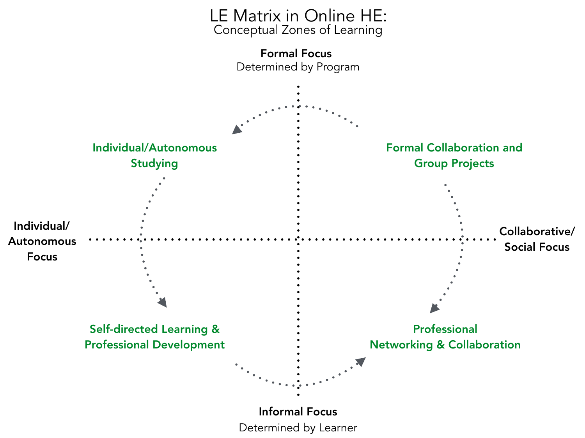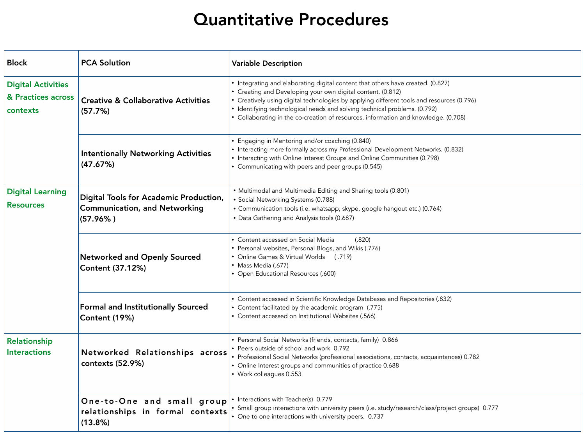### Quantitative Procedures

| <b>Block</b>                                                                                                             | <b>PCA Solution</b>                                                                           | <b>Variable Description</b>                                                                                                                                                                                                                                                                                                                                                                                     |
|--------------------------------------------------------------------------------------------------------------------------|-----------------------------------------------------------------------------------------------|-----------------------------------------------------------------------------------------------------------------------------------------------------------------------------------------------------------------------------------------------------------------------------------------------------------------------------------------------------------------------------------------------------------------|
| <b>Digital Activities</b><br>& Practices across<br><b>Creative &amp; Collaborative Activities</b><br>contexts<br>(57.7%) |                                                                                               | • Integrating and elaborating digital content that others have created. (0.827)<br>• Creating and Developing your own digital content. (0.812)<br>• Creatively using digital technologies by applying different tools and resources (0.796)<br>• Identifying technological needs and solving technical problems. (0.792)<br>• Collaborating in the co-creation of resources, information and knowledge. (0.708) |
|                                                                                                                          | <b>Intentionally Networking Activities</b><br>(47.67%)                                        | • Engaging in Mentoring and/or coaching (0.840)<br>• Interacting more formally across my Professional Development Networks. (0.832)<br>• Interacting with Online Interest Groups and Online Communities (0.798)<br>• Communicating with peers and peer groups (0.545)                                                                                                                                           |
| <b>Digital Learning</b><br><b>Resources</b>                                                                              | Digital Tools for Academic Production,<br><b>Communication, and Networking</b><br>$(57.96\%)$ | • Multimodal and Multimedia Editing and Sharing tools (0.801)<br>• Social Networking Systems (0.788)<br>• Communication tools (i.e. whatsapp, skype, google hangout etc.) (0.764)<br>• Data Gathering and Analysis tools (0.687)                                                                                                                                                                                |
|                                                                                                                          | <b>Networked and Openly Sourced</b><br><b>Content (37.12%)</b>                                | • Content accessed on Social Media<br>(.820)<br>• Personal websites, Personal Blogs, and Wikis (.776)<br>• Online Games & Virtual Worlds (.719)<br>• Mass Media (.677)<br>• Open Educational Resources (.600)                                                                                                                                                                                                   |
|                                                                                                                          | <b>Formal and Institutionally Sourced</b><br><b>Content (19%)</b>                             | • Content accessed in Scientific Knowledge Databases and Repositories (.832)<br>• Content facilitated by the academic program (.775)<br>• Content accessed on Institutional Websites (.566)                                                                                                                                                                                                                     |
| <b>Relationship</b><br><b>Interactions</b><br>Networked Relationships across<br>contexts (52.9%)                         |                                                                                               | • Personal Social Networks (friends, contacts, family) 0.866<br>• Peers outside of school and work 0.792<br>• Professional Social Networks (professional associations, contacts, acquaintances) 0.782<br>• Online Interest groups and communities of practice 0.688<br>• Work colleagues 0.553                                                                                                                  |
|                                                                                                                          | One-to-One and small group<br>relationships in formal contexts<br>$(13.8\%)$                  | • Interactions with Teacher(s) 0.779<br>• Small group interactions with university peers (i.e. study/research/class/project groups) 0.777<br>• One to one interactions with university peers. 0.737                                                                                                                                                                                                             |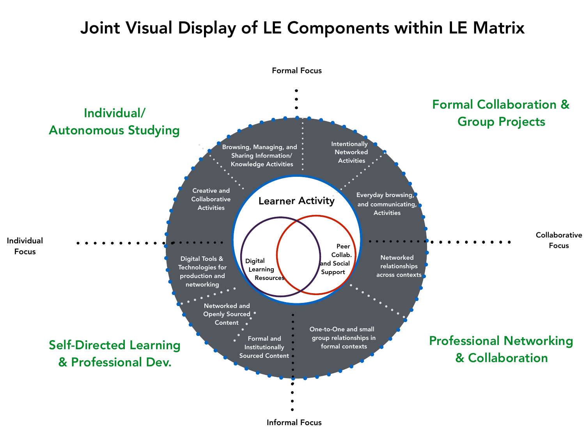## Joint Visual Display of LE Components within LE Matrix



Informal Focus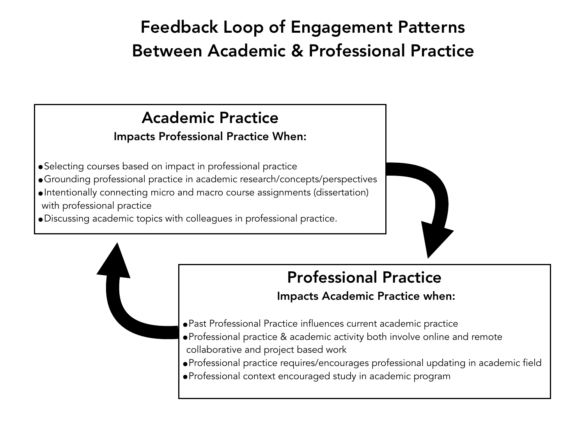# Feedback Loop of Engagement Patterns Between Academic & Professional Practice

### Academic Practice

#### Impacts Professional Practice When:

- •Selecting courses based on impact in professional practice
- •Grounding professional practice in academic research/concepts/perspectives
- •Intentionally connecting micro and macro course assignments (dissertation) with professional practice
- •Discussing academic topics with colleagues in professional practice.



# Professional Practice

#### Impacts Academic Practice when:

- •Past Professional Practice influences current academic practice
- •Professional practice & academic activity both involve online and remote collaborative and project based work
- •Professional practice requires/encourages professional updating in academic field
- •Professional context encouraged study in academic program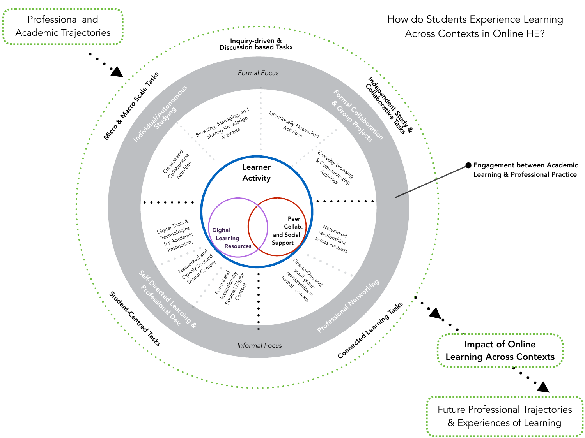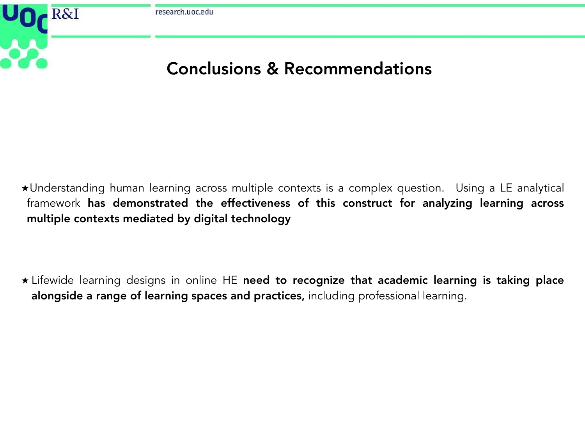

̣Understanding human learning across multiple contexts is a complex question. Using a LE analytical framework has demonstrated the effectiveness of this construct for analyzing learning across multiple contexts mediated by digital technology

\* Lifewide learning designs in online HE need to recognize that academic learning is taking place alongside a range of learning spaces and practices, including professional learning.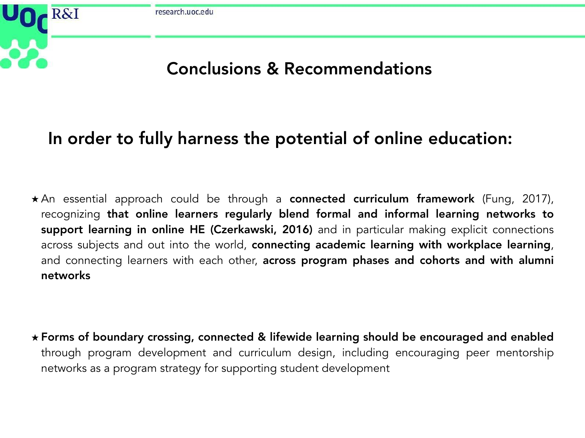

### In order to fully harness the potential of online education:

\* An essential approach could be through a connected curriculum framework (Fung, 2017), recognizing that online learners regularly blend formal and informal learning networks to support learning in online HE (Czerkawski, 2016) and in particular making explicit connections across subjects and out into the world, connecting academic learning with workplace learning, and connecting learners with each other, across program phases and cohorts and with alumni networks

**̣** Forms of boundary crossing, connected & lifewide learning should be encouraged and enabled through program development and curriculum design, including encouraging peer mentorship networks as a program strategy for supporting student development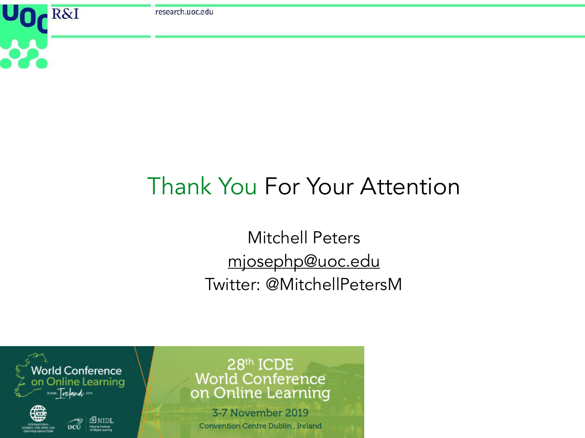research.uoc.edu

R&I

# Thank You For Your Attention

Mitchell Peters [mjosephp@uoc.edu](mailto:mjosephp@uoc.edu) Twitter: @MitchellPetersM